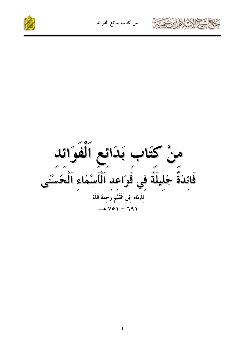





منْ كَتَابٍ بَدَائِعِ اسرٍ<br>فَائِدَةٌ جَلِيلَةٌ فِي قَوَاعِدِ ٱلْأَسْمَاءِ ٱلْحَمَّ<br>اَلِّكَ تَسَمَّا إِسَّهُمْ رَحِمَهُ اللَّهُ مَنْ اللَّهُ مِنْ اللَّهُ مِنْ اللَّهُ مِنْ اللَّهُ مِنْ اللَّهُ م<br>---------------------------بَدَائع الْفَوَائِد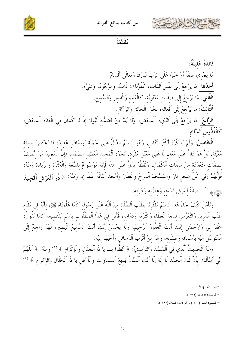





مُقَدِّمَةٌ

فَائدَةٌ جَليلَةٌ: مَا يَجْرِي صفَةً أَوْ خَبَرًا عَلَى الرَّبِّ تَبَارَكَ وَتَعَالَى أَقْسَامٌ. أَحَلُهَا: مَا يَرْجِعُ إِلَى نَفْسٍ اَلذَّات، كَقَوْلكَ: ذَاتٌ، وَمَوْجُودٌ، وَشَيْءٌ. اَلثَّاني: مَا يَرْجعُ إِلَى صِفَاتٍ مَعْنَوِيَّةٍ، كَالْعَلِيمِ وَالْقَدِيرِ وَالسَّمِيعِ. اَلثَّالثُ: مَا يَرْجعُ إِلَى أَفْعَاله، نَحْوُ: الْخَالق وَالرَّزَّاق. ا<mark>َلرَّابِعُ:</mark> مَا يَرْجِعُ إِلَى اَلتَّنْزِيهِ اَلْمَحْضِ، وَلَا بُدَّ مِنْ تَضَمُّنِهِ ثُبُوتًا إِذْ لَا كَمَالَ فِي اَلْعَدَمِ اَلْمَحْضِ، كَالْقُدُّوس اَلسَّلَام.

ا**َلْخَامسُ**: وَلَمْ يَذْكُرْهُ أَكْثَرُ اَلنَّاس، وَهُوَ اَلِاسْمُ اَلدَّالُّ عَلَى جُمْلَة أَوْصَاف عَديدَة لَا تَخْتَصُّ بصفَة مُعَيَّنَة، بَلْ هُوَ دَالٌّ عَلَى مَعَان لَا عَلَى مَعْنًى مُفْرَد، نَحْوُ: اَلْمَجيد اَلْعَظِيم اَلصَّمَد، فَإِنَّ اَلْمَجيدَ مَنْ اتَّصَفَ بصفَات مُتَعَدِّدَة منْ صفَات الْكَمَال، وَلَفْظُهُ يَدُلُّ عَلَى هَذَا فَإِنَّهُ مَوْضُوعٌ للسَّعَة وَالْكُثْرَة وَالزِّيَادَة وَمنْهُ: قَوْلُهُمْ (فِي كُلِّ شَجَرٍ نَارٌ وَاِسْتَمْجَدَ اَلْمَرْخُ وَالْعِفَارُ وَأَمْجَدَ اَلنَّاقَةَ عَلَفًا )، وَمِنْهُ: ﴿ ذُو ٱلْعَرْشِ ٱلْمَجِيدُ (١) صَفَةٌ لِلْعَرْشِ لِسَعَتِهِ وَعِظَمِهِ وَشَرَفِهِ.

وَتَأَمَّلْ كَيْفَ حَاءَ هَذَا اَلِاسْمُ مُقْتَرِنًا بِطَلَبِ اَلصَّلَاةِ مِنْ اَللَّهِ عَلَى رَسُوله كَمَا عَلَّمَنَاهُ ﷺ، لأَنَّهُ في مَقَام طَلَبِ اَلْمَزِيدِ وَالتَّعَرُّضِ لِسَعَةِ اَلْعَطَاءِ وَكَثْرَته وَدَوَامه، فَأَتَى في هَذَا اَلْمَطْلُوب باسْم يَقْتضيه، كَمَا تَقُولُ: اغْفِرْ لِي وَارْحَمْنِي إِنَّكَ أَنْتَ اَلْغَفُورُ اَلرَّحِيمُ، وَلَا يَحْسُنُ إِنَّكَ أَنْتَ اَلسَّميعُ اَلْبَصِيرُ، فَهُوَ رَاجعٌ إِلَى الْمُتَوَسَّل إلَيْه بأَسْمَائه وَصفَاته، وَهُوَ منْ أَقْرَب اَلْوَسَائل وَأَحَبِّهَا إلَيْه.

وَمنْهُ اَلْحَدِيثُ اَلَّذِي فِي اَلْمُسْنَدِ وَاَلتِّرْمذيِّ: ﴿ أَلظُّوا بِــ يَا ذَا اَلْحَلَالِ وَالْإِكْرَامِ ﴾ (٢) وَمنْهُ: ﴿ اَللَّهُمَّ إِنِّي أَسْأَلُكَ بِأَنَّ لَكَ الْحَمْدَ لَا إِلَهَ إِلَّا أَنْتَ اَلْمَنَّانُ بَدِيعُ اَلسَّمَاوَاتِ وَالْأَرْضِ يَا ذَا اَلْحَلَالِ وَالْإِكْرَامِ ﴾ (٣)

١– سورة البروج أية: ١٥.

٢- الترمذي: الدعوات (٢٥٢٤).

٣– النسائي: السهو (١٣٠٠) , وأبو داود: الصلاة (١٤٩٥).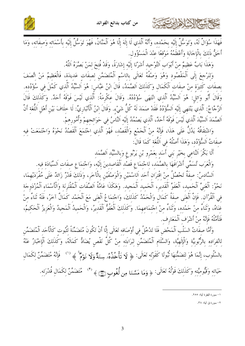

فَهَذَا سُؤَالَ لَهُ، وَتَوَسَّلَ إِلَيْهِ بِحَمْدِهِ، وَأَنَّهُ الَّذِي لَا إِلَهَ إِلَّا هُوَ الْمَنَّانَ، فَهُوَ تَوَسَّلَ إِلَيْهِ بِأَسْمَائِهِ وَصِفَاتِهِ، وَمَا أَحَقُّ ذَلكَ بِالْإِجَابَةِ وَأَعْظَمُهُ مَوْقعًا عِنْدَ الْمَسْؤُول.

وَهَذَا بَابٌ عَظِيمٌ منْ أَبْوَابٍ اَلتَّوْحِيدِ أَشَرْنَا إِلَيْهِ إِشَارَةً، وَقَدْ فُتِحَ لِمَنْ بَصَّرَهُ اَللَّهُ.

وَلِنَرْجِعَ إِلَى المَقصُودِ وَهُوَ وَصْفَهُ تَعَالَى بِالِاسْمِ المُتَضَمَّنِ لِصِفاتِ عَدِيدَةٍ، فالعَظِيمُ مَنْ اتَّصَفَ بصفَات كَثيرَة مِنْ صفَات اَلْكَمَال وَكَذَلكَ اَلصَّمَدُ، قَالَ ابْنُ عَبَّاس: هُوَ اَلسَّيِّدُ اَلَّذي كَمُلَ في سُؤْدُده. وَقال أَبُو وَائِلٍ: هُوَ السَّيِّدُ الذي انْتَهَى سُؤْدُدُهُ. وَقال عِكْرِمَة: الذي ليْسَ فوْقَهُ أَحَدٌ. وَكذلكَ قال اَلزَّجَّاجُ: اَلَّذي يَنْتَهي إلَيْه اَلسُّؤْدُدُ فَقَدْ صَمَدَ لَهُ كُلُّ شَيْء. وَقَالَ ابْنُ اَلْأَنْبَارِيِّ: لَا خلَافَ بَيْن أَهْل اَللُّغَة أَنَّ اَلصَّمَدَ اَلسَّيِّدَ اَلَّذي لَيْسَ فَوْقَهُ أَحَدٌ، اَلَّذي يَصْمُدُ إِلَيْه اَلنَّاسُ في حَوَائجهمْ وَأُمُورهمْ.

وَاشْتِقاقَهُ يَدُل عَلى هَذا، فإِنَّهُ مِنْ الجَمْعِ وَالقصْدِ، فهُوَ الذِي اجْتَمَعَ القصْدُ نَحْوَهُ وَاجْتَمَعَتْ فِيهِ صفَاتُ اَلسُّوْدُد، وَهَذَا أَصْلُهُ في اَللَّغَة كَمَا قَالَ:

أَلَا بَكَّرَ اَلنَّاعي بخَيْر بَني أَسَد بعَمْرو بْنِ يَرْبُوع وَبالسَّيِّد اَلصَّمَد

l.

وَالعَرَبِ تُسَمِّي أَشْرَافَهَا بِالصُّمَدِ، لِاجْتِمَاعِ قَصْدِ القاصِدِينَ إِلَيْهِ، وَاجْتِمَاعِ صِفاتِ السِّيَادَةِ فِيهِ.

السَّادِسُ: صِفة تَحْصُلُ مِنْ اقترَانِ أَحَدِ الِلسْمَيْنِ وَالوَصْفيْنِ بِالْآخَرِ، وَذَلِكَ قَدْرٌ زَائِدٌ عَلَى مُفرَدَيْهِمَا، نَحْوُ: اَلْغَنِيٍّ اَلْحَميد، اَلْعَفَوِّ اَلْقَديرِ، اَلْحَميد اَلْمَجيد. وَهَكَذَا عَامَّةُ اَلصِّفَات اَلْمُقْتَرنَة وَالْأَسْمَاء اَلْمُزْدَوجَة فِي القرْآنِ. فإن الغُنَى صِفة كمَالٍ وَالحَمْدُ كذلِكَ، وَاجْتِمَاعُ الغُنَى مَعَ الحَمْدِ كمَالٍ آخَرُ، فلهُ ثَنَاءِ منْ غَنَاهُ، وَتَنَاءُ منْ حَمْده، وَتَنَاءُ منْ اجْتمَاعهمَا. وَكَذَلكَ اَلْعَفُوُّ اَلْقَديرُ، وَالْحَميدُ الْمَجيدُ وَالْعَزيزُ اَلْحَكيمُ، فَتَأَمَّلْهُ فَإِنَّهُ منْ أَشْرَف اَلْمَعَارِف.

وَأَمَّا صِفاتُ السَلبِ المَحْضِ فلا تَدْخُل فِي أَوْصَافِه تَعَالَى إِلَّا أَن تَكُونَ مُتَضَمَّنَة لِثَبُوتِ كالأَحَدِ الْمُتَضَمِّنِ لِانْفِرَادِهِ بِالرَّبُوبِيَّةِ وَالإِلهِيَّةِ، وَالسَّلامِ المُتَضَمَّنِ لِبَرَاءِتِهِ مِنْ كُلّ نَقصٍ يُضَادَّ كمَالهُ، وَكذلكَ الإِخْبَارُ عَنْهُ بالسُلُوبِ، إِنَّمَا هُوَ لِتَضَمُّنِهَا تُبُوتًا كَقَوْلِهِ تَعَالَى: ﴿ لَا تَأْخُذُهُۥ سِنَةٌ وَلَا نَوۡمٌ ﴾ فَإِنَّهُ مُتَضَمَّنٌ لِكَمَالِ حَيَاتِهِ وَقَيُّومِيَّتِهِ وَكَذَلِكَ قَوْلُهُ تَعَالَى: ﴿ وَمَا مَسَّنَا مِن لُّغُوبِ۞﴾ (" مُتَضَمَّنٌ لِكَمَالِ قَدْرَتِهِ.

۲– سورة ق أية: ۳۸.

١– سورة البقرة أية: ٢٥٥.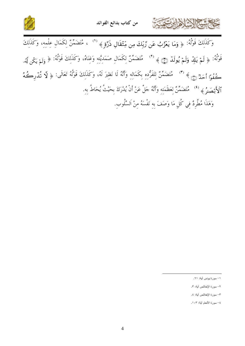



وَكَذَلِكَ قَوْلُهُ: ﴿ وَمَا يَعْزُبُ عَن رَّبِّكَ مِن مِّثْقَالِ ذَرَّةٍ ﴾ (`` ، مُتَضَمِّنٌ لِكَمَالِ عِلْمِهِ، وَكَذَلِكَ قَوْلُهُ: ﴿ لَمْ يَالِدٌ وَلَمْ يُولَدٌ (صَّ ﴾ (\*) مُتَضَمِّنٌ لِكَمَالِ صَمَدِيَّتِهِ وَغِنَاهُ، وَكَذَلِكَ قَوْلُهُ: ﴿ وَلَمْ يَكُن أَهُر كُفُوًا أَحَدٌ ۞ ﴾ (٣) مُتَضَمَّنٌ لِتَفَرُّدِهِ بِكَمَالِهِ وَأَنَّهُ لَا نَظِيرَ لَهُ، وَكَذَلِكَ قَوْلُهُ تَعَالَى: ﴿ لَا تُدَرِكُهُ الْأَبْصَـٰرُ ﴾ ('' مُتَضَمِّنٌ لِعَظَمَتِهِ وَأَنَّهُ حَلَّ عَنْ أَنْ يُدْرَكَ بِحَيْتُ يُحَاطُ بِهِ. وَهَذَا مُطَّرِدٌ فِي كُلِ مَا وَصَفَ بِهِ نَفْسَهُ مِنْ اَلسَّلُوب.

۱– سورة يونس أية: ٦١.

٢- سورة الإخلاص أية: ٣.

٣- سورة الإخلاص أية: ٤.

٤– سورة الأنعام أية: ١٠٣.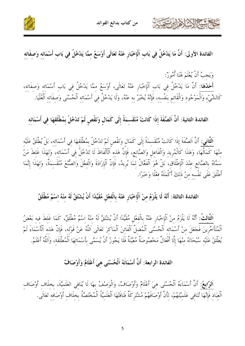





وَيَجِبُ أَنْ يُعْلَمَ هُنَا أُمُورٌ:

خاخمشة الخالطانية

-<br>أَحَلُهَا: أَنَّ مَا يَدْخُلُ فِي بَابِ اَلْإِخْبَارِ عَنْهُ تَعَالَى، أَوْسَعُ مِمَّا يَدْخُلُ فِي بَابِ أَسْمَائه وَصفَاته،<br>كَالشَّيْءِ وَالْمَوْجُودِ وَالْقَائِمِ بِنَفْسِهِ، فَإِنَّهُ يُخْبَرُ بِهِ عَنْهُ، وَلَا يَد

الفائدة الثانية: أَنَّ اَلصِّفَةَ إِذَا كَانَتْ مُنْقَسِمَةً إِلَى كَمَالٍ وَنَقْصٍ لَمْ تَدْخُلْ بِمُطْلَقِهَا فِي أَسْمَائِهِ

اَ<mark>لثَّانِي:</mark> أَنَّ اَلصِّفَةَ إِذَا كَانَتْ مُنْقَسِمَةً إِلَى كَمَالٍ وَنَقْصٍ لَمْ تَدْخُلٌ بِمُطْلَقهَا فِي أَسْمَائِهِ، بَلْ يُطْلَقُ عَلَيْهِ<br>مِنْهَا كَمَالُهَا، وَهَذَا كَالْمُرِيدِ وَالْفَاعِلِ وَالصَّانِعِ، فَإِن أَطْلَقَ عَلَى نَفْسِهِ مِنْ ذَلِكَ أَكْمَلَهُ فِعْلًا وَخَبَرًا.

الفائدة الثالثة: أَنَّهُ لَا يَلْزَمُ مِنْ اَلْإِحْبَارِ عَنْهُ بِالْفِعْلِ مُقَيَّدًا أَنْ يُشْتَقَّ لَهُ مِنْهُ اِسْمٌ مُطْلَقٌ

اَلثَّالثُ: أَنَّهُ لَا يَلْزَمُ منْ اَلْإِخْبَارِ عَنْهُ بِالْفعْلِ مُقَيَّدًا أَنْ يُشْتَقَّ لَهُ منْهُ اسْمٌ مُطْلَقٌ، كَمَا غَلطَ فيه بَعْضُ<br>اَلْمُتَأَخِّرِينَ فَجَعَلَ مِنْ أَسْمَائِهِ اَلْحُسْنَى اَلْمُضَلَّ اَلْفَا

الفائدة الرابعة: أَنَّ أَسْمَائَهُ اَلْحُسْنَى هِيَ أَعْلَامٌ وَأَوْصَافٌ

ا<mark>َلرَّابِعُ:</mark> أَنَّ أَسْمَاءَهُ الْحُسْنَى هِيَ أَعْلَامٌ وَأَوْصَافٌ، وَالْوَصْفُ بِهَا لَا يُنَافِي العَلَميَّةَ، بخلَاف أَوْصَاف<br>اَلْعِبَادِ فَإِنَّهَا تُنَافِي عَلَمِيَّتَهُمْ، لِأَنَّ أَوْصَافَهُمْ مُشْتَرِكَةٌ فَنَ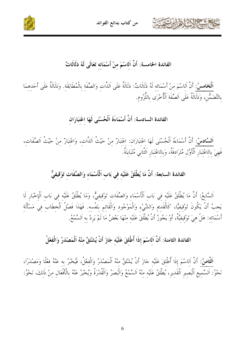





الفائدة الخامسة: أَنَّ اَلاسْمَ منْ أَسْمَائه تَعَالَى لَهُ دَلَالَاتٌ

اَلْخَامِسُ: أَنَّ الِاسْمَ مِنْ أَسْمَائِه لَهُ دَلَالَاتٌ: دَلَالَةٌ عَلَى اَلذَّاتِ وَالصِّفَةِ بِالْمُطَابَقَةِ. وَدَلَالَةٌ عَلَى أَحَدِهِمَا بِالتَّضَمُّنِ، وَدَلَالَةٌ عَلَى اَلصِّفَةِ اَلْأُخْرَى بِاللَّزُومِ.

#### الفائدة السادسة: أَنَّ أَسْمَاءَهُ اَلْحُسْنَى لَهَا اعْتبَارَان

اَلسَّادسُ: أَنَّ أَسْمَاءَهُ اَلْحُسْنَى لَهَا اعْتبَارَان: اعْتبَارٌ منْ حَيْتُ اَلذَّات، وَاعْتبَارٌ منْ حَيْثُ اَلصِّفَات، فَهِيَ بالاعْتِبَارِ اَلْأَوَّلِ مُتَرَادِفَةً، وَبِالِاعْتِبَارِ اَلثَّانِي مُتَبَايِنَةً.

### الفائدة السابعة: أَنَّ مَا يُطْلَقُ عَلَيْهِ فِي بَابِ اَلْأَسْمَاءِ وَالصِّفَاتِ تَوْقِيفيٌّ

اَلسَّابِعُ: أَنَّ مَا يُطْلَقُ عَلَيْهِ فِي بَابِ اَلْأَسْمَاءِ وَالصِّفَاتِ تَوْقِيفِيٌّ، وَمَا يُطْلَقُ عَلَيْهِ فِي بَابِ اَلْإِخْبَارِ لَا يَجِبُ أَنْ يَكُونَ تَوْقِيفِيًّا، كَالْقَدِيمِ وَالشَّيْءِ وَالْمَوْجُودِ وَالْقَائِمِ بِنَفْسِهِ. فَهَذَا فَصْلُ اَلْخِطَابِ فِي مَسْأَلَةِ أَسْمَائِهِ: هَلْ هِيَ تَوْقِيفِيَّةٌ، أَوْ يَجُوزُ أَنْ يُطْلَقَ عَلَيْهِ مِنْهَا بَعْضُ مَا لَمْ يَرِدْ بِهِ اَلسَّمْعُ.

الفائدة الثامنة: أَنَّ اَلِاسْمَ إِذَا أُطْلِقَ عَلَيْهِ جَازَ أَنْ يُشْتَقَّ مِنْهُ اَلْمَصْدَرُ وَالْفِعْلُ

اَ<mark>لثَّامِنُ:</mark> أَنَّ اَلِاسْمَ إِذَا أُطْلِقَ عَلَيْهِ جَازَ أَنْ يُشْتَقَّ مِنْهُ اَلْمَصْدَرُ وَالْفِعْلُ، فَيُخْبَرُ بِهِ عَنْهُ فِعْلًا وَمَصْدَرًا، نَحْوُ: اَلسَّمِيعِ اَلْبَصِيرِ اَلْقَدِيرِ، يُطْلَقُ عَلَيْهِ مِنْهُ اَلسَّمْعُ وَالْبَصَرُ وَالْقُدْرَةُ وَيُخْبَرُ عَنْهُ بِالْأَفْعَالِ مِنْ ذَلِكَ، نَحْوُ: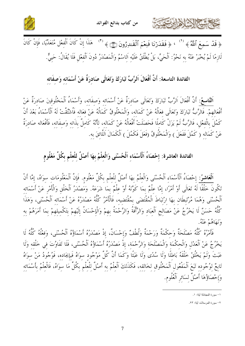





﴿ قَدْ سَمِعَ ٱللَّهُ ﴾ `` ، ﴿ فَقَدَرْنَا فَنِعْمَ ٱلْقَـٰدِرُونَ (٢٦) هَذَا إِنْ كَانَ اَلْفِعْلِ مُتَعَدِّيًا، فَإِنْ كَانَ لَازِمًا لَمْ يُخْبَرْ عَنْهُ به نَحْوُ: اَلْحَيِّ، بَلْ يُطْلَقُ عَلَيْه اَلِاسْمُ وَالْمَصْدَرُ دُونَ اَلْفِعْلِ فَلَا يُقَالُ: حَيِيٌّ.

#### الفائدة التاسعة: أَنَّ أَفْعَالَ اَلرَّبِّ تَبَارَكَ وَتَعَالَى صَادرَةٌ عَنْ أَسْمَائه وَصفَاته

اَلتَّاسعُ: أَنَّ أَفْعَالَ اَلرَّبِّ تَبَارَكَ وَتَعَالَى صَادرَةٌ عَنْ أَسْمَائه وَصفَاته، وَأَسْمَاءُ اَلْمَخْلُوقينَ صَادرَةٌ عَنْ أَفْعَالهِمْ. فَالرَّبُّ تَبَارَكَ وَتَعَالَى فعَالُهُ عَنْ كَمَاله، وَالْمَخْلُوقُ كَمَالُهُ عَنْ فعَاله فَأشْتُقّتْ لَهُ الْأَسْمَاءُ بَعْدَ أَنْ كَمُلَ بِالْفعْلِ، فَالرَّبُّ لَمْ يَزَلْ كَاملًا فَحَصَلَتْ أَفْعَالُهُ عَنْ كَمَاله، لأَنَّهُ كَاملٌ بذَاته وَصفَاته، فَأَفْعَاله صَادرَةٌ عَنْ كَمَاله ( كَمُلَ فَفَعَلَ ) وَالْمَخْلُوقُ (فَعَلَ فَكَمُلَ ) اَلْكَمَالَ اَللَّائقَ به.

## الفائدة العاشرة: إِحْصَاءُ اَلْأَسْمَاءِ اَلْحُسْنَى وَالْعِلْمُ بِهَا أَصْلٌ لِلْعِلْمِ بِكُلِّ مَعْلُومٍ

اَلْعَاشِرُ: إِحْصَاءُ اَلْأَسْمَاءِ اَلْحُسْنَى وَالْعِلْمُ بِهَا أَصْلٌ لِلْعِلْمِ بِكُلِّ مَعْلُومٍ. فَإِنَّ اَلْمَعْلُومَات سواهُ، إِمَّا أَنْ تَكُونَ خَلْقًا لَهُ تَعَالَى أَوْ أَمْرًا، إِمَّا عِلْمٌ بِمَا كَوَّنَهُ أَوْ عِلْمٌ بِمَا شَرَعَهُ. وَمَصْدَرُ اَلْخَلْقِ وَالْأَمْرِ عَنْ أَسْمَائِه اَلْحُسْنَى وَهُمَا مُرْتَبِطَان بهَا ارْتبَاطَ الْمُقْتَضَى بِمُقْتَضِيه، فَالْأَمْرُ كُلُّهُ مَصْدَرُهُ عَنْ أَسْمَائه اَلْحُسْنَى، وَهَذَا كُلُّهُ حَسَنٌ لَا يَخْرُجُ عَنْ مَصَالِحِ اَلْعِبَادِ وَالرَّأْفَةُ وَالرَّحْمَةُ بِهِمْ وَالْإِحْسَانُ إِلَيْهِمْ بِتَكْمِيلِهِمْ بِمَا أَمَرَهُمْ بِهِ وَنَهَاهُمْ عَنْهُ.

فَأَمْرُهُ كُلُّهُ مَصْلَحَةٌ وَحِكْمَةٌ وَرَحْمَةٌ وَلُطْفٌ وَإِحْسَانٌ، إذْ مَصْدَرُهُ أَسْمَاؤُهُ الْحُسْنَبي، وَفعْلُهُ كُلُّهُ لَا يَخْرُجُ عَنْ اَلْعَدْلِ وَالْحِكْمَةِ وَالْمَصْلَحَةِ وَالرَّحْمَةِ، إذْ مَصْدَرُهُ أَسْمَاؤُهُ اَلْحُسْنَى، فَلَا تَفَاوُتَ في خَلْقه وَلَا عَبَتْ وَلَمْ يَخْلُقْ خَلْقَهُ بَاطلًا وَلَا سُدًى وَلَا عَبَثًا وَكَمَا أَنَّ كُلَّ مَوْجُود سوَاهُ فَبإيجَاده، فَوُجُودُ مَنْ سوَاهُ تَابِعٌ لِوُجُودِه تَبَعَ اَلْمَفْعُولِ اَلْمَخْلُوقِ لخَالقِهِ، فَكَذَلِكَ اَلْعِلْمُ بِهِ أَصْلٌ لِلْعِلْمِ بكُلٍّ مَا سِوَاهُ، فَالْعِلْمُ بِأَسْمَائِه وَإِحْصَاؤُهَا أَصْلٌ لسَائر اَلْعُلُوم.

١– سورة المجادلة أية: ١.

٢- سورة المرسلات أية: ٢٣.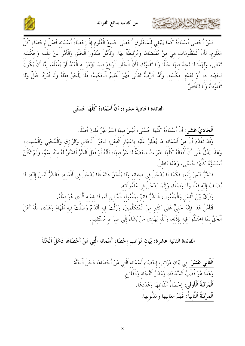



فَمَنْ أَحْصَى أَسْمَاءَهُ كَمَا يَنْبَغي للْمَخْلُوق أَحْصَى حَميعَ الْعُلُوم إذْ إحْصَاءُ أَسْمَائه أَصْلٌ لإحْصَاء كُلِّ مَعْلُوم، لأَنَّ اَلْمَعْلُومَات هيَ منْ مُقْتَضَاهَا وَمُرْتَبِطَةٌ بهَا. وَتَأَمَّلْ صُدُورَ اَلْخَلْق وَالْأَمْر عَنْ علْمه وَحكْمَته تَعَالَى، وَلهَذَا لَا تَجدُ فيهَا خَلَلًا وَلَا تَفَاوُتًا، لأَنَّ اَلْخَلَلَ اَلْوَاقعَ فيمَا يُؤْمَرُ به اَلْعَبْدُ أَوْ يَفْعَلُهُ، إمَّا أَنْ يَكُونَ لجَهْله به، أَوْ لعَدَم حكْمَته. وَأَمَّا اَلرَّبُّ تَعَالَى فَهُوَ اَلْعَليمُ اَلْحَكيمُ، فَلَا يَلْحَقُ فعْلَهُ وَلَا أَمْرَهُ خَلَلٌ وَلَا تَفَادُتُ وَلَا تَنَاقُضُ.

الفائدة الحادية عشرة: أَنَّ أَسْمَاءَهُ كُلَّهَا حُسْنَى

اَ**لْحَادِيُ عَشَر**ٍ: أَنَّ أَسْمَاءَهُ كُلَّهَا حُسْنَى، لَيْسَ فيهَا اسْمٌ غَيْرُ ذَلكَ أَصْلًا.

وَقَدْ تَقَدَّمَ أَنَّ منْ أَسْمَائه مَا يُطْلَقُ عَلَيْه باعْتبَار الْفعْل، نَحْوُ: اَلْخَالق وَالرَّازق وَالْمُحْيي وَالْمُميت، وَهَذَا يَدُلُّ عَلَى أَنَّ أَفْعَالَهُ كُلَّهَا خَيْرَاتٌ مَحْضَةٌ لَا شَرَّ فِيهَا، لِأَنَّهُ لَوْ فَعَلَ الشَّرَّ لَاشْتُقَّ لَهُ مِنْهُ اِسْمٌ، وَلَمْ تَكُنْ أَسْمَاؤُهُ كُلُّهَا حُسْنَى، وَهَذَا بَاطِلٌ.

فَالشَّرُّ لَيْسَ إِلَيْه، فَكَمَا لَا يَدْخُلُ فِي صِفَاتِه وَلَا يَلْحَقُ ذَاتَهُ فَلَا يَدْخُلُ فِي أَفْعَالِه، فَالشَّرُّ لَيْسَ إِلَيْه، لَا يُضَافُ إلَيْه فعْلًا وَلَا وَصْفًا، وَإِنَّمَا يَدْخُلُ في مَفْعُولَاته.

وَفَرْقٌ بَيْنَ اَلْفعْلِ وَالْمَفْعُول، فَالشَّرُّ قَائمٌ بمَفْعُوله اَلْمُبَاين لَهُ، لَا بفعْله اَلّذي هُوَ فعْلُهُ.

فَتَأَمَّلْ هَذَا فَإِنَّهُ خَفيٌّ عَلَى كَثير منْ اَلْمُتَكَلِّمينَ، وَزَلَّتْ فيه أَقْدَامٌ وَضَلَّتْ فيه أَفْهَامٌ وَهَدَى اَللَّهُ أَهْلَ اَلْحَقِّ لِمَا اِخْتَلَفُوا فِيهِ بِإِذْنِهِ، وَاَللَّهِ يَهْدِي مَنْ يَشَاءُ إِلَى صِرَاطٍ مُسْتَقِيمٍ.

الفائدة الثانية عشرة: بَيَانِ مَرَاتِبِ إِحْصَاءِ أَسْمَائِهِ اَلَّتِي مَنْ أَحْصَاهَا دَخَلَ اَلْجَنَّةَ

اَ<mark>لثَّانِي عَشَرَ:</mark> فِي بَيَانِ مَرَاتِبِ إحْصَاءِ أَسْمَائه اَلَّتِي مَنْ أَحْصَاهَا دَخَلَ اَلْجَنَّةَ. وَهَذَا هُوَ قُطْبُ اَلسَّعَادَة، وَمَدَارُ اَلنَّجَاة وَالْفَلَاحِ. اَلْمَرْتَبَةُ اَلْأُولَى: إحْصَاءُ أَلْفَاظهَا وَعَدَدهَا. اَلْمَرْتَبَةُ اَلثَّانِيَةُ: فَهْمُ مَعَانِيهَا وَمَدْلُولهَا.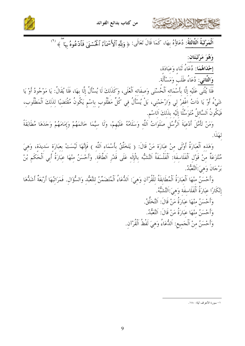



اَلْمَرْتَبَةُ اَلثَّالثَةُ: دُعَاؤُهُ بِهَا، كَمَا قَالَ تَعَالَى: ﴿ وَلِلَّهِ ٱلْأَسْمَآءُ ٱلْحُسۡنَىٰ فَٱدۡعُوهُ بِهَا ۖ ﴾ (')

وَهُوَ مَرْتَبَتَانَ: 

وَالثَّاني: دُعَاءُ طَلَبٍ وَمَسْأَلَة.

فَلَا يُثْنَى عَلَيْه إِلَّا بِأَسْمَائه اَلْحُسْنَى وَصِفَاته اَلْعُلَى، وَكَذَلكَ لَا يُسْأَلُ إِلَّا بهَا، فَلَا يُقَالُ: يَا مَوْجُودُ أَوْ يَا شَيْءُ أَوْ يَا ذَاتُ اغْفِرْ لِي وَارْحَمْنِي، بَلْ يُسْأَلُ فِي كُلِّ مَطْلُوبٍ بِاسْمٍ يَكُونُ مُقْتَضِيًا لِذَلِكَ اَلْمَطْلُوبِ، فَيَكُونُ اَلسَّائلُ مُتَوَسِّلًا إِلَيْه بذَلكَ اَللسْم.

وَمَنْ تَأَمَّلَ أَدْعِيَةَ اَلرُّسُلِ صَلَوَاتُ اَللَّهِ وَسَلَامُهُ عَلَيْهِمْ، وَلَا سِيَّمَا خَاتَمَهُمْ وَإِمَامَهُمْ وَجَدَهَا مُطَابَقَةً لهَذَا.

وَهَذِهِ اَلْعِبَارَةُ أَوْلَى مِنْ عِبَارَة مَنْ قَالَ: ( يَتَخَلَّقُ بِأَسْمَاءِ اَللَّه ) فَإِنَّهَا لَيْسَتْ بعبَارَة سَديدَة، وَهيَ مُنْتَزَعَةٌ مِنْ قَوْلِ اَلْفَلَاسِفَةِ: اَلْفَلْسَفَةُ اَلتَّشَبُّه بِالْإِلَهِ عَلَى قَدْرِ اَلطَّاقَةِ. وأَحْسَنُ مِنْهَا عِبَارَةُ أَبِي اَلْحَكَمِ بْنْ برْجَانَ وَهِيَ:اَلتَّعَبُّدُ.

وَأَحْسَنُ منْهَا اَلْعَبَارَةُ اَلْمُطَابِقَةُ للْقُرْآن وَهيَ: اَلدُّعَاءُ اَلْمُتَضَمِّنُ لِلتَّعَبُّدِ وَالسُّؤَالِ. فَمَرَاتِبُهَا أَرْبَعَةٌ أَشَدُّهَا إِنْكَارًا عِبَارَةُ اَلْفَلَاسفَة وَهِيَ:اَلتَّشَبُّهُ.

> وَأَحْسَنُ مِنْهَا عِبَارَةُ مَنْ قَالَ: اَلتَّخَلُّقُ. وَأَحْسَنُ منْهَا عَبَارَةُ مَنْ قَالَ: اَلتَّعَبّْدُ. وَأَحْسَنُ مِنْ اَلْجَمِيعِ: اَللُّعَاءُ وَهِيَ لَفْظُ اَلْقُرْآن.

١– سورة الأعراف أية: ١٨٠.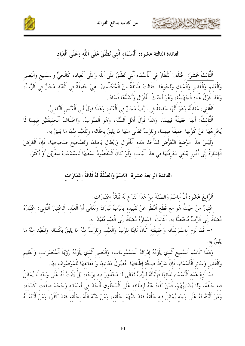



ا**َلثَّاكَ عَشَرَ**: اخْتَلَفَ النُّظَّارُ في اَلْأَسْمَاء الَّتي تُطْلَقُ عَلَى اَللَّهِ وَعَلَى اَلْعِبَادِ، كَالْحَيِّ وَالسَّمِيعِ وَالْبَصِيرِ وَالْعَليم وَالْقَديرِ وَالْمَلك وَنَحْوِهَا. فَقَالَتْ طَائفَةٌ مِنْ اَلْمُتَكَلّْمِينَ: هِيَ حَقِيقَةٌ فِي اَلْعَبْدِ مَجَازٌ فِي اَلرَّبِّ، وَهَذَا قَوْلُ غُلَاة الْجَهْميَّة، وَهُوَ أَخْبَتُ الْأَقْوَالِ وَأَشَدُّهَا فَسَادًا.

اَلثَّاني: مُقَابِلُهُ وَهُوَ أَنَّهَا حَقيقَةٌ في اَلرَّبِّ مَجَازٌ في اَلْعَبْد، وَهَذَا قَوْلُ أَبِي اَلْعَبَّاسِ اَلنَّاشِيِّ. اَلْثَّالَثُ: أَنَّهَا حَقيقَةٌ فيهمَا، وَهَذَا قَوْلُ أَهْلِ اَلسُّنَّة، وَهُوَ اَلصَّوَابُ. وَاخْتلَافُ اَلْحَقيقَتَيْنِ فِيهِمَا لَا يُخْرِجُهَا عَنْ كَوْنهَا حَقيقَةً فيهمَا، وَللرَّبِّ تَعَالَى منْهَا مَا يَليقُ بجَلَاله، وَلِلْعَبْد منْهَا مَا يَليقُ به. وَلَيْسَ هَذَا مَوْضِعَ اَلتَّعَرُّضِ لِمَأْخَذٍ هَذِهِ اَلْأَقْوَالِ وَإِبْطَالِ بَاطِلهَا وَتَصْحِيح صَحِيحهَا، فَإِنَّ اَلْغَرَضَ اَلْإِشَارَةُ إِلَى أُمُورِ يَنْبَغِي مَعْرِفَتُهَا فِي هَذَا اَلْبَابِ، وَلَوْ كَانَ اَلْمَقْصُودُ بَسْطُهَا لَاسْتَدْعَتْ سِفْرَيْنِ أَوْ أَكْثَرَ.

### الفائدة الرابعة عشرة: اَلاسْمَ وَالصِّفَةَ لَهُ ثَلَاثَةُ اعْتِبَارَات

اَلرَّابِعَ عَشَوَ: أَنَّ اَلِاسْمَ وَالصِّفَةَ منْ هَذَا اَلنَّوْعِ لَهُ ثَلَاثَةُ اعْتبَارَات:

اعْتبَارٌ منْ حَيْثُ هُوَ مَعَ قَطْعِ اَلنَّظَرِ عَنْ تَقْييده بالرَّبِّ تَبَارَكَ وَتَعَالَى أَوْ اَلْعَبْد. اَلاعْتبَارُ اَلثَّانِي: اعْتبَارُهُ مُضَافًا إلَى اَلرَّبِّ مُخْتَصًّا به. اَلثَّالتُ: اعْتبَارُهُ مُضَافًا إلَى اَلْعَبْد مُقيَّدًا به.

١- فَمَا لَزِمَ اَلِاسْمَ لِذَاتِهِ وَحَقِيقَتِهِ كَانَ ثَابِتًا لِلرَّبِّ وَالْعَبْدِ، وَلِلرَّبِّ مِنْهُ مَا يَلِيقُ بِكَمَالِهِ وَلِلْعَبْدِ مِنْهُ مَا يَلْيقُ بِه

وَهَذَا كَاسْمِ اَلسَّميعِ اَلَّذي يَلْزَمُهُ إِدْرَاكُ الْمَسْمُوعَات، وَالْبَصيرِ اَلَّذي يَلْزَمُهُ رُؤْيَةُ اَلْمُبْصَرَات، وَالْعَليم وَالْقَديرِ وَسَائرِ اَلْأَسْمَاءِ، فَإِنَّ شَرْطَ صحَّة إطْلَاقهَا حُصُولُ مَعَانِيهَا وَحَقَائِقهَا لِلْمَوْصُوفِ بِهَا.

فَمَا لَزِمَ هَذِه ٱلْأَسْمَاءِ لذَاتهَا فَإِثْبَاتُهُ للرَّبِّ تَعَالَى لَا مَحْذُورَ فيه بوَجْه، بَلْ يَثْبتُ لَهُ عَلَى وَجْه لَا يُمَاثِلُ فيه خَلْقَهُ، وَلَا يُشَابِهُهُمْ، فَمَنْ نَفَاهُ عَنْهُ لإطْلَاقه عَلَى اَلْمَخْلُوق أَلْحَدَ في أَسْمَائه وَجَحَدَ صفَات كَمَاله، وَمَنْ أَتْبَتَهُ لَهُ عَلَى وَجْهِ يُمَاثِلُ فِيهِ خَلْقَهُ فَقَدْ شَبَّهَهُ بِخَلْقه، وَمَنْ شَبَّهَ اَللَّهَ بِخَلْقه فَقَدْ كَفَرَ، وَمَنْ أَثْبَتَهُ لَهُ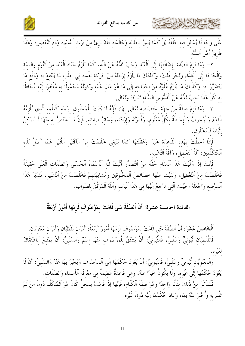

طَرِيقُ أَهْلِ اَلسُّنَّة.

٢- وَمَا لَزِمَ اَلصِّفَةَ لِإِضَافَتِهَا إِلَى اَلْعَبْدِ وَجَبَ نَفْيُهُ عَنْ اَللَّه، كَمَا يَلْزَمُ حَيَاةَ اَلْعَبْد منْ اَلنَّوْم والسنَة وَالْحَاجَة إِلَى اَلْغِذَاء وَنَحْوِ ذَلِكَ، وَكَذَلِكَ مَا يَلْزَمُ إِرَادَتَهُ مِنْ حَرَكَةٍ نَفْسِهِ فِي جَلْبِ مَا يَنْتَفِعُ بِهِ وَدَفْعِ مَا يَتَضَرَّرُ بَه، وَكَذَلَكَ مَا يَلْزَمُ عُلُوَّهُ مِنْ اَحْتِيَاجِهِ إِلَى مَا هُوَ عَالٍ عَلَيْهِ وَكَوْنُهُ مَحْمُولًا بِهِ مُفْتَقِرًا إِلَيْهِ مُحَاطًا به كُلُّ هَذَا يَجبُ نَفْيُهُ عَنْ اَلْقُلُّوس اَلسَّلَام تَبَارَكَ وَتَعَالَى.

٣- وَمَا لَزِمَ صِفَةً مِنْ حِهَةِ اخْتِصَاصِهِ تَعَالَى بِهَا، فَإِنَّهُ لَا يَثْبُتُ للْمَخْلُوق بوَجْه كَعلْمه الَّذي يُلْزمُهُ اَلْقِدَمَ وَالْوُجُوبُ وَالْإِحَاطَةُ بِكُلِّ مَعْلُومٍ، وَقُدْرَتُهُ وَإِرَادَتُهُ، وَسَائِرُ صِفَاته. فَإِنَّ مَا يَخْتَصُّ بِهِ مِنْهَا لَا يُمْكِنُ إِثْبَاتُهُ لِلْمَخْلُوقِ.

فَإِذَا أَحَطْتَ بِهَذِهِ الْقَاعِدَةِ حَبَرًا وَعَقَلْتَهَا كَمَا يَنْبَغِي حَلَصْتَ مِنْ اَلْآفَتَيْنِ اَللَّتَيْنِ هُمَا أَصْلُ بَلَاءِ اَلْمُتَكَلِّمينَ: آفَةُ اَلتَّعْطيل، وَآفَةُ اَلتَّشْبِيه.

فَإِنَّكَ إِذَا وَفَّيْتَ هَذَا اَلْمَقَامَ حَقَّهُ مِنْ اَلتَّصَوُّرِ أَنْبَتَّ لِلَّهِ اَلْأَسْمَاءَ اَلْحُسْنَى وَالصِّفَات اَلْعُلَى حَقيقَةً فَخَلَصْتَ مِنْ اَلتَّعْطِيلِ، وَنَفَيْتَ عَنْهَا خَصَائِصَ اَلْمَخْلُوقِينَ وَمُشَابِهَتِهِمْ فَخَلَصْتَ مِنْ اَلتَّشْبِيهِ، فَتَدَبَّرْ هَذَا اَلْمَوْضِعَ وَاجْعَلْهُ آخِيَّتَكَ اَلَّتِي تَرْجِعُ إِلَيْهَا فِي هَذَا اَلْبَابِ وَاَللَّهُ اَلْمُوَفَّقُ لِلصَّوَابِ.

# الفائدة الخامسة عشرة: أَنَّ اَلصِّفَةَ مَتَى قَامَتْ بِمَوْصُوفٍ لَزِمَهَا أُمُورٌ أَرْبَعَةٌ

اَ**لْخَامِسَ عَشَوَ**: أَنَّ اَلصِّفَةَ مَتَى قَامَتْ بِمَوْصُوفٍ لَزِمَهَا أُمُورٌ أَرْبَعَةٌ: أَمْرَان لَفْظيَّان وَأَمْرَان مَعْنَويَّان. فَاللَّفْظِيَّانِ ثُبُوتِيٌّ وَسَلْبِيٌّ، فَالثُّبُوتِيُّ: أَنْ يُشْتَقَّ لِلْمَوْصُوفِ مِنْهَا اِسْمٌ وَالسَّلْبِيُّ: أَنْ يَمْتَنِعَ اَلِاشْتِقَاقُ

وَالْمَعْنَوِيَّان تُبُوتِيٌّ وَسَلْبِيٌّ، فَالثُّبُوتيُّ: أَنْ يَعُودَ حُكْمُهَا إلَى اَلْمَوْصُوف وَيُخْبَرَ بهَا عَنْهُ وَالسَّلْبِيُّ: أَنْ لَا يَعُودَ حُكْمُهَا إِلَى غَيْرِهِ، وَلَا يَكُونُ خَبَرًا عَنْهُ، وَهِيَ قَاعِدَةٌ عَظِيمَةٌ فِي مَعْرِفَةِ ٱلْأَسْمَاءِ وَالصِّفَاتِ.

فَلْنَذْكُرْ مِنْ ذَلِكَ مُثَالًا وَاحِدًا وَهُوَ صِفَةُ اَلْكَلَامِ، فَإِنَّهَا إِذَا قَامَتْ بِمَحَلٍّ كَانَ هُوَ اَلْمُتَكَلِّمَ دُونَ مَنْ لَمْ تَقُمْ بِهِ وَأُخْبِرَ عَنْهُ بِهَا، وَعَادَ حُكْمُهَا إِلَيْهِ دُونَ غَيْرِهِ.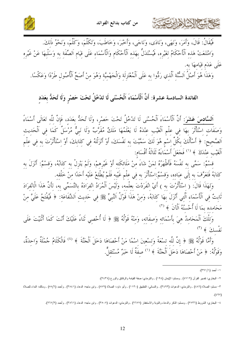



فَيُقَالُ: قَالَ، وَأَمَرَ، وَنَهَى، وَنَادَى، وَنَاجَى، وَأَحْبَرَ، وَخَاطَبَ، وَتَكَلَّمَ، وَكَلَّمَ، وَنَحْوُ ذَلِكَ. وَامْتَنَعَتْ هَذِهِ ٱلْأَحْكَامُ لِغَيْرِهِ، فَيُسْتَدَلُّ بِهَذِهِ ٱلْأَحْكَامِ وَالْأَسْمَاءِ عَلَى قِيَامِ اَلصِّفَةِ بِهِ وَسَلْبِهَا عَنْ غَيْرِهِ عَلَى عَدَم قيَامهَا به.

وَهَذَا هُوَ أَصْلُ اَلسُّنَّةِ اَلَّذِي رَدُّوا بِهِ عَلَى اَلْمُعْتَزِلَةِ وَالْجَهْمِيَّةِ وَهُوَ مِنْ أَصَحَّ اَلْأُصُولِ طَرْدًا وَعَكْسًا.

### الفائدة السادسة عشرة: أَنَّ اَلْأَسْمَاءَ اَلْحُسْنَى لَا تَدْخُلُ تَحْتَ حَصْرٍ وَلَا تُحَدُّ بِعَدَدِ

اَلسَّادِسَ عَشَرَ: أَنَّ اَلْأَسْمَاءَ اَلْحُسْنَى لَا تَدْخُلُ تَحْتَ حَصْرٍ، وَلَا تُحَدُّ بِعَدَدٍ، فَإِنَّ لِلَّهِ تَعَالَى أَسْمَاءً وَصَفَاتٍ اِسْتَأْثَرَ بِهَا فِي عِلْمِ اَلْغَيْبِ عِنْدَهُ لَا يَعْلَمُهَا مَلَكٌ مُقَرَّبٌ وَلَا نَبِيٌّ مُرْسَلٌ كَمَا فِي اَلْحَديث اَلصَّحِيحَ: ﴿ أَسْأَلُكَ بِكُلِّ اِسْمٍ هُوَ لَكَ سَمَّيْتَ بِهِ نَفْسَكَ، أَوْ أَنْزَلْتَهُ فِي كِتَابِكَ، أَوْ اِسْتَأْثَرْتَ بِهِ فِي عِلْمِ اَلْغَيْبِ عِنْدَكَ ﴾ <sup>(١)</sup> فَجَعَلَ أَسْمَاءَهُ ثَلَاثَةُ أَقْسَام:

قِسْمٌ: سَمَّى بِهِ نَفْسَهُ فَأَظْهَرُهُ لِمَنْ شَاءَ مِّنْ مَلَائِكَتِهِ أَوْ غَيْرِهِمْ، وَلَمْ يَنْزِلْ بِه كَتَابُهُ، وَقَسْمٌ: أَنْزَلَ به كِتَابَهُ فَتَعَرَّفَ بِهِ إِلَى عِبَادِهِ، وَقِسْمٌ:اسْتَأْثَرَ بِهِ فِي عِلْمٍ غَيْبِهِ فَلَمْ يُطْلِعْ عَلَيْهِ أَحَدًا مِنْ خَلْقِهِ.

وَلِهَذَا قَالَ: ﴿ اِسْتَأْثَرْتَ بِهِ ﴾ أَيْ اِنْفَرَدْتَ بِعِلْمِهِ، وَلَيْسَ اَلْمُرَادُ اِنْفِرَادَهُ بِالتَّسَمِّي بِهِ، لِأَنَّ هَذَا الْاِنْفِرَادَ ثَابِتٌ فِي اَلْأَسْمَاءِ اَلَّتِي أَنْزَلَ بِهَا كِتَابَهُ، وَمِنْ هَذَا قَوْلُ اَلنَّبِيٍّ ﷺ فِي حَدِيثِ اَلشَّفَاعَةِ: ﴿ فَيُفْتَحُ عَلَيَّ مِنْ مَحَامِده بِمَا لَا أُحْسِنُهُ اَلْآنَ ﴾ (٢)

نَفْسِل<sup>و</sup>َ ک<sup>و (۳)</sup>

وَأَمَّا قَوْلُهُ ﷺ ﴿ إِنَّ لِلَّهِ تِسْعَةً وَتِسْعِينَ اِسْمًا مَنْ أَحْصَاهَا دَخَلَ اَلْجَنَّةَ ﴾ <sup>(٤)</sup> فَالْكَلَامُ جُمْلَةٌ وَاحدَةٌ، وَقَوْلُهُ: ﴿ مَنْ أَحْصَاهَا دَخَلَ اَلْحَنَّةَ ﴾ ('' صفَةٌ لَا خَبَرٌ مُسْتَقلٌّ.

١ – أحمد (١/ ٣٩١).

٢– البخاري: نفسير القرآن (٤٧١٢) , ومسلم: الإيمان (١٩٤) , والترمذي: صفة القيامة والرقائق والورع (٢٤٣٤).

٣– مسلم: الصلاة (٤٨٦) , والترمذي: الدعوات (٣٤٩٣) , والنسائي: التطبيق (١١٣٠) , وأبو داود: الصلاة (٨٧٩) , وابن ماجه: الدعاء (٣٨٤١) , وأحمد (٥٨/٦) , ومالك: النداء للصلاة  $.$ (٤٩٧)

٤– البخاري: الشروط (٢٧٣٦) , ومسلم: الذكر والدعاء والقوبة والاستغفار (٢٦٧٧) , والترمذي: الدعوات (٣٥٠٧) , وأبن ماجه: الدعاء (٣٨٦١) , وأحمد (٢/٢٦٧).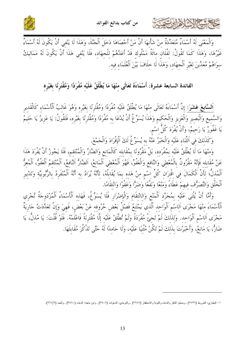



كالحمشيم الذلاط ابرت

وَالْمَعْنَى لَهُ أَسْمَاءٌ مُتَعَدِّدَةٌ منْ شَأْنهَا أَنَّ مَنْ أَحْصَاهَا دَخَلَ اَلْجَنَّةَ، وَهَذَا لَا يَنْفي أَنْ يَكُونَ لَهُ أَسْمَاءٌ غَيْرُهَا، وَهَذَا كَمَا تَقُولُ: لفُلَان مائَةُ مَمْلُوك قَدْ أَعَدَّهُمْ للْجهَاد، فَلَا يَنْفي هَذَا أَنْ يَكُونَ لَهُ مَمَاليكُ سوَاهُمْ مُعَدِّينَ لغَيْرِ اَلْحِهَادِ، وَهَذَا لَا حِلَافَ بَيْنَ اَلْعُلَمَاءِ فيه.

#### الفائدة السابعة عشرة: أَسْمَاءَهُ تَعَالَى منْهَا مَا يُطْلَقُ عَلَيْه مُفْرَدًا وَمُقْتَرِنًا بغَيْره

اَلسَّابِعَ عَشَرَ: إِنَّ أَسْمَاءَهُ تَعَالَى مِنْهَا مَا يُطْلَقُ عَلَيْهِ مُفْرَدًا وَمُقْتَرِنًا بغَيْرِه وَهُوَ غَالِبُ اَلْأَسْمَاءِ كَالْقَدِيرِ وَالسَّمِيعِ وَالْبَصِيرِ وَالْعَزِيزِ وَالْحَكِيمِ وَهَذَا يُسَوِّغُ أَنْ يُدْعَا بِهِ مُفْرَدًا وَمُقْتَرِنًا بِغَيْرِهِ، فَتَقُولُ: يَا عَزِيزُ يَا حَلِيمُ يَا غَفُورُ يَا رَحِيمُ، وَأَنْ يُفْرَدَ كُلُّ اسْمٍ.

وَكَذَلِكَ فِي اَلتَّنَاءِ عَلَيْه وَالْخَبَرُ عَنْهُ به يُسَوِّئُ لَكَ اَلْإِفْرَادَ وَالْجَمْعَ.

وَمنْهَا مَا لَا يُطْلَقُ عَلَيْه بمُفْرَده، بَلْ مَقْرُونًا بمُقَابله كَالْمَانع وَالضَّارِّ وَالْمُنْتَقم، فَلَا يَجُوزُ أَنْ يُفْرَدَ هَذَا عَنْ مُقَابِله فَإِنَّهُ مَقْرُونٌ بِالْمُعْطي وَالنَّافع وَالْعَفُوِّ، فَهُوَ اَلْمُعْطي اَلْمَانعُ، اَلضَّارُّ النَّافعُ، اَلْمُنْتَقمُ اَلْعَفُوٌ، اَلْمُعزُّ اَلْمُذِلٌّ؛ لِأَنَّ اَلْكَمَالَ فِي اقْتِرَانِ كُلِّ اسْمِ مِنْ هَذِه بِمَا يُقَابِلُهُ، لِأَنَّهُ يُرَادُ بِه أَنَّهُ اَلْمُنْفَرِدُ بِالرُّبُوبِيَّة وَتَدْبِيرِ ٱلْخَلْقِ وَالتَّصَرُّف فيهمْ عَطَاءً وَمَنْعًا وَنَفْعًا وَضَرًّا وَعَفْوًا وَانْتقَامًا.

وَأَمَّا أَنْ يُثْنَى عَلَيْهِ بِمُجَرَّدِ اَلْمَنْعِ وَالانْتقَامِ وَالْإِضْرَارِ فَلَا يُسَوِّغُ، فَهَذه اَلْأَسْمَاءُ اَلْمُزْدَوجَةُ تُجْري اَلْأَسْمَاءَ منْهَا مَجْرَى اَلاسْم اَلْوَاحد اَلَّذي يَمْتَنعُ فَصْلُ بَعْض حُرُوفه عَنْ بَعْض، فَهيَ وَإِنْ تَعَدَّدَتْ جَارِيَةٌ مَجْرَى اَلِاسْمِ اَلْوَاحِد. وَلذَلكَ لَمْ تَجِئْ مُفْرَدَةً وَلَمْ تُطْلَقْ عَلَيْه إِلَّا مُقْتَرِنَةً فَاعْلَمْهُ. فَلَوْ قُلْتَ: يَا مُذلُّ، يَا ضَارُّ، يَا مَانِعُ، وَأَخْبَرْتَ بِذَلِكَ لَمْ تَكُنْ مُثْنيًا عَلَيْه، وَلَا حَاملًا لَهُ حَتَّى تَذْكُرَ مُقَابلَهَا.

١– البخاري: الشروط (٢٧٣٦) , ومسلم: الذكر والدعاء والقوبة والاستغفار (٢٦٧٧) , والترمذي: الدعوات (٣٥٠٧) , وابن ملجه: الدعاء (٣٨٦٠) , وأحمد (٢/٦٧٢).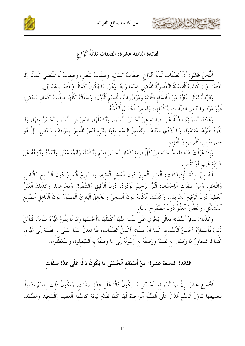



الفائدة الثامنة عشرة: اَلصِّفَات ثَلَاثَةُ أَنْوَاع

اَلثَّامِنَ عَشَرَ: أَنَّ اَلصِّفَاتِ ثَلَاثَةُ أَنْوَاعٍ: صِفَاتُ كَمَالٍ، وَصفَاتُ نَقْصٍ، وَصفَاتٌ لَا تَقْتضي كَمَالًا وَلَا نَقْصًا، وَإِنْ كَانَتْ اَلْقِسْمَةُ اَلتَّقْدِيرِيَّةُ تَقْتَضِي قسْمًا رَابِعًا وَهُوَ: مَا يَكُونُ كَمَالًا وَنَقْصًا باعْتبَارَيْن.

وَالرَّبُّ تَعَالَى مُنَزَّةٌ عَنْ اَلْأَقْسَامِ اَلثَّلَاثَة وَمَوْصُوفٌ بِالْقِسْمِ اَلْأَوَّلِ، وَصَفَاتُهُ كُلُّهَا صِفَاتُ كَمَالٍ مَحْضٍ، فَهُوَ مَوْصُوفٌ منْ اَلصِّفَات بِأَكْمَلهَا، وَلَهُ منْ اَلْكَمَالِ أَكْمَلُهُ.

وَهَكَذَا أَسْمَاؤُهُ اَلذَّالَّةُ عَلَى صِفَاتِه هِيَ أَحْسَنُ الْأَسْمَاء وَأَكْمَلُهَا، فَلَيْسَ في الْأَسْمَاء أَحْسَنُ منْهَا، وَلَا يَقُومُ غَيْرُهَا مَقَامَهَا، وَلَا يُؤَدِّي مَعْنَاهَا، وَتَفْسِيرُ اَلِاسْمِ مِنْهَا بِغَيْرِهِ لَيْسَ تَفْسِيرًا بِمُرَادِفٍ مَحْضٍ، بَلْ هُوَ عَلَى سَبِيلِ اَلتَّقْرِيبِ وَالتَّفْهِيمِ.

وَإِذَا عَرَفْتَ هَذَا فَلَهُ سُبْحَانَهُ مِنْ كُلِّ صِفَةٍ كَمَالٍ أَحْسَنُ اِسْمٍ وَأَكْمَلُهُ وَأَتَمُّهُ مَعْنًى وَأَبْعَدُهُ وَأَنْزَهُهُ عَنْ شَائبَة عَيْب أَوْ نَقْصٍ.

فَلَهُ مِنْ صِفَةِ اَلْإِدْرَاكَاتِ: اَلْعَلِيمُ اَلْخَبِيرُ دُونَ اَلْعَاقِلِ اَلْفَقِيهِ، وَالسَّمِيعُ اَلْبَصِيرُ دُونَ اَلسَّامِعِ وَالْبَاصِرِ وَالنَّاظِرِ، وَمِنْ صِفَاتِ اَلْإِحْسَانِ: اَلْبَرُّ اَلرَّحِيمُ اَلْوَدُودُ، دُونَ اَلرَّقِيقِ وَالشَّفُوقِ وَنَحْوِهِمَا، وَكَذَلِكَ اَلْعَلِيُّ ٱلْعَظِيمُ دُونَ اَلرَّفيع اَلشَّرِيف، وَكَذَلكَ اَلْكَرِيمُ دُونَ اَلسَّخِيِّ وَالْخَالِقُ اَلْبَارِئُ اَلْمُصَوَّرُ دُونَ اَلْفَاعِلِ اَلصَّانِعِ ٱلْمُشَكِّل، وَالْغَفُورُ اَلْعَفُوٌّ دُونَ اَلصَّفُوحِ اَلسَّاترِ.

وَكَذَلِكَ سَائِرُ أَسْمَائه تَعَالَى يُجْرِي عَلَى نَفْسه منْهَا أَكْمَلَهَا وَأَحْسَنَهَا وَمَا لَا يَقُومُ غَيْرُهُ مَقَامَهُ، فَتَأَمَّلْ ذَلِكَ فَأَسْمَاؤُهُ أَحْسَنُ اَلْأَسْمَاءِ، كَمَا أَنَّ صِفَاتِه أَكْمَلُ اَلصِّفَاتِ، فَلَا تَعْدِلُ عَمَّا سَمَّى به نَفْسَهُ إِلَى غَيْرِه، كَمَا لَا تَتَجَاوَزُ مَا وَصَفَ بِهِ نَفْسَهُ وَوَصَفَهُ بِهِ رَسُولُهُ إِلَى مَا وَصَفَهُ بِهِ اَلْمُبْطِلُونَ وَالْمُعَطِّلُونَ.

الفائدة التاسعة عشرة: مِنْ أَسْمَائِهِ اَلْحُسْنَى مَا يَكُونُ دَالًّا عَلَى عدَّة صفَات

اَلتَّاسِعَ عَشَرَ: إِنَّ مِنْ أَسْمَائِهِ اَلْحُسْنَى مَا يَكُونُ دَالًّا عَلَى عِدَّةِ صِفَاتٍ، وَيَكُونُ ذَلكَ اَلاسْمُ مُتَنَاوِلًا لِجَمِيعِهَا تَنَاوُلَ اَلِاسْمِ اَلذَّالٌ عَلَى اَلصِّفَةِ اَلْوَاحِدَةِ لَهَا كَمَا تَقَلَّمَ بَيَانُهُ كَاسْمِهِ اَلْعَظِيمِ وَالْمَجِيدِ وَالصَّمَدِ،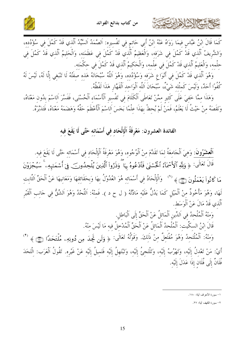

كَمَا قَالَ ابْنُ عَبَّاسٍ فيمَا رَوَاهُ عَنْهُ ابْنُ أَبِي حَاتمٍ في تَفْسيرِه: اَلصَّمَدُ اَلسَّيِّدُ اَلّذي قَدْ كَمُلَ في سُؤْدُده، وَالشَّريفُ اَلَّذي قَدْ كَمُلَ في شَرَفه، وَالْعَظِيمُ اَلَّذي قَدْ كَمُلَ في عَظَمَته، وَالْحَليمُ اَلَّذي قَدْ كَمُلَ فِي حلْمه، وَالْعَليمُ اَلَّذي قَدْ كَمُلَ في علْمه، وَالْحَكيمُ اَلَّذي قَدْ كَمُلَ في حكْمَته.

وَهُوَ اَلَّذِي قَدْ كَمُلَ فِي أَنْوَاعِ شَرَفِه وَسُؤْدُده، وَهُوَ اَللَّهُ سُبْحَانَهُ هَذه صفَّتُهُ لَا تَنْبَغي إلَّا لَهُ، لَيْسَ لَهُ كُفُوًا أَحَدٌ، وَلَيْسَ كَمثْله شَيْءٌ، سُبْحَانَ اَللَّه الْوَاحد اَلْقَهَّارِ هَذَا لَفْظُهُ.

وَهَذَا ممَّا خَفيَ عَلَى كَثير ممَّنْ تَعَاطَى اَلْكَلَامَ في تَفْسير اَلْأَسْمَاء اَلْحُسْنَى، فَفَسَّرَ اَلاسْمَ بدُون مَعْنَاهُ، وَنَقَصَهُ مِنْ حَيْثُ لَا يَعْلَمُ، فَمَنْ لَمْ يُحِطْ بِهَذَا عِلْمًا بَخَسَ اَلِاسْمَ اَلْأَعْظَمَ حَقَّهُ وَهَضَمَهُ مَعْنَاهُ، فَتَلَبَّرْهُ.

# الفائدة العشرون: مَعْرِفَةُ اَلْإِلْحَادِ فِي أَسْمَائِهِ حَتَّى لَا يَقَعَ فِيهِ

اَ**لْعِشْرُونَ**: وَهِيَ اَلْجَامِعَةُ لِمَا تَقَلَّمَ مِنْ اَلْوُجُوهِ، وَهُوَ مَعْرِفَةُ اَلْإِلْحَادِ فِي أَسْمَائِهِ حَتَّى لَا يَقَعَ فِيهِ. قَالَ تَعَالَى: ﴿ وَلِلَّهِ ٱلْأَسْمَآءُ ٱلْحُسۡمَىٰ فَٱدۡعُوهُ بِهَا ۖ وَذَرُواْ ٱلَّذِينَ يُلۡحِدُونَ فِىٓ أَسۡمَنَهِمِۦ ۚ سَيُجۡزَوۡنَ مَا كَانُواْ يَعْمَلُونَ ۞ ﴾ «'' ۖ وَالْإِلْحَادُ فِي أَسْمَائِهِ هُوَ العُدُوْلُ بِهَا وَبِحَقَائِقِهَا وَمَعَانِيهَا عَنْ اَلْحَقِّ الثَّابِتِ لَهَا، وَهُوَ مَأْخُوذٌ مِنْ اَلْمَيْلِ كَمَا يَدُلُّ عَلَيْهِ مَادَّتُهُ ( ل ح د ). فَمِنْهُ: اَللَّحْدُ وَهُوَ الشّقُّ فِي جَانِبِ اَلْقَبْرِ اَلَّذي قَدْ مَالَ عَنْ اَلْوَسَط.

وَمنْهُ اَلْمُلْحدُ في اَلدِّينِ اَلْمَائلُ عَنْ اَلْحَقِّ إِلَى اَلْبَاطل.

قَالَ ابْنُ السكِّيت: اَلْمُلْحدُ اَلْمَائلُ عَنْ اَلْحَقِّ اَلْمُدْخلُ فيه مَا لَيْسَ منْهُ.

وَمِنْهُ: اَلْمُلْتَحِدُ وَهُوَ مُفْتَعِلٌ مِنْ ذَلِكَ. وَقَوْلُهُ تَعَالَى: ﴿ وَلَن تَجِدَ مِن دُونِهِۦ مُلْتَحَدًا (٤٣) ﴾ أَيْ: مَنْ تَعْدِلُ إِلَيْهِ، وَتَهْرُبُ إِلَيْهِ، وَتَلْتَجِئُ إِلَيْهِ، وَتَبْتَهِلُ إِلَيْهِ فَتَمِيلُ إِلَيْهِ عَنْ غَيْرِهِ. تَقُولُ اَلْعَرَب: الْتَحَدَ فُلَانٌ إِلَى فُلَانِ إِذَا عَدَلَ إِلَيْهِ.

٢– سورة الكهف أية: ٢٧.

١– سورة الأعراف أية: ١٨٠.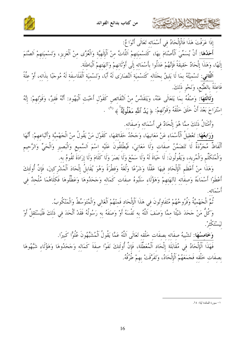من كتاب بدائع الفوائد





إذَا عَرَفْتَ هَذَا فَالْإِلْحَادُ في أَسْمَائه تَعَالَى أَنْوَا عٌ:

أَحَلُهَا: أَنْ يُسَمِّيَ الْأَصْنَامَ بهَا، كَتَسْميَتهمْ اَللَّاتَّ منْ اَلْإِلَهيَّة وَالْعُزَّى منْ اَلْعَزيز، وَتَسْميَتهمْ اَلصَّنَمَ إِلَهًا، وَهَذَا إِلْحَادٌ حَقيقَةً فَإِنَّهُمْ عَدَلُوا بِأَسْمَائِه إِلَى أَوْثَانِهِمْ وَآلهَتِهِمْ اَلْبَاطلَة.

اَ**لثَّاني**: تَسْميَنُهُ بمَا لَا يَليقُ بجَلَاله كَتَسْميَة اَلنَّصَارَى لَهُ أَبًا، وَتَسْميَة اَلْفَلَاسفَة لَهُ مُوجَبًا بذَاته، أَوْ علَّةً فَاعلَةً بالطَّبْع، وَنَحْو ذَلكَ.

<mark>وَثَالثُهَا:</mark> وَصْفُهُ بِمَا يَتَعَالَى عَنْهُ، وَيَتَقَلَّسُ مِنْ النَّقَائصِ كَقَوْلِ أَحْبَتْ اَلْيَهُود: أَنَّهُ فَقيرٌ، وَقَوْلهمْ: إنَّهُ اسْتَرَاحَ بَعْدَ أَنْ خَلَقَ خَلْقَهُ وَقَوْلِهِمْ: ﴿ يَدُ ٱللَّهِ مَغْلُولَةٌ ﴾ ('' .

وَأَمْثَالُ ذَلكَ ممَّا هُوَ إِلْحَادٌ في أَسْمَائه وَصفَاته.

وَرَابِعُهَا: تَعْطيلُ اَلْأَسْمَاء عَنْ مَعَانيهَا، وَحَحْدُ حَقَائقهَا، كَقَوْل مَنْ يَقُولُ منْ الْجَهْميَّة وَأَتْبَاعهمْ: أَنَّهَا أَلْفَاظٌ مُجَرَّدَةٌ لَا تَتَضَمَّنُ صفَات وَلَا مَعَانِيَ، فَيُطْلِقُونَ عَلَيْهِ اسْمَ اَلسَّمِيعِ وَالْبَصِيرِ وَالْحَيِّ وَالرَّحِيمِ وَالْمُتَكَلِّمِ وَالْمُرِيدِ، وَيَقُولُونَ: لَا حَيَاةَ لَهُ وَلَا سَمْعَ وَلَا بَصَرَ وَلَا كَلَامَ وَلَا إِرَادَةَ تَقُومُ بِهِ.

وَهَذَا منْ أَعْظَم اَلْإِلْحَاد فيهَا عَقْلًا وَشَرْعًا وَلُغَةً وَفطْرَةً وَهُوَ يُقَابلُ إلْحَادَ اَلْمُشْركينَ، فَإِنَّ أُولَئكَ أَعْطَوْا أَسْمَاءَهُ وَصِفَاتِهِ لِٱلهَتِهِمْ وَهَؤُلَاءِ سَلَبُوهُ صِفَاتٍ كَمَالِهِ وَجَحَدُوهَا وَعَطَّلُوهَا فَكلَاهُمَا مُلْحدٌ في

تُمَّ الْجَهْميَّةُ وَفُرُوخُهُمْ مُتَفَاوتُونَ في هَذَا اَلْإِلْحَاد فَمِنْهُمْ اَلْغَالِي وَالْمُتَوَسِّطُ وَالْمَنْكُوبُ. وَكُلُّ مَنْ حَحَدَ شَيْئًا مِمَّا وَصَفَ اَللَّهُ بِه نَفْسَهُ أَوْ وَصَفَهُ بِه رَسُولُهُ فَقَدْ أَلْحَدَ في ذَلكَ فَلْيَسْتَقِلَّ أَوْ ليَسْتَكْثرْ .

وَخَامسُهَا: تَشْبِيهُ صفَاته بصفَات خَلْقه تَعَالَى اَللَّهُ عَمَّا يَقُولُ اَلْمُشَبِّهُونَ عُلُوًّا كَبيرًا. فَهَذَا اَلْإِلْحَادُ في مُقَابَلَة إِلْحَاد اَلْمُعَطِّلَة، فَإِنَّ أُولَئكَ نَفَوْا صفَةَ كَمَاله وَجَحَدُوهَا وَهَؤُلَاء شَبَّهُوهَا بصفَات خَلْقه فَجَمَعَهُمْ اَلْإِلْحَادُ، وَتَفَرَّقَتْ بهمْ طُرُقَهُ.

١– سورة المعائدة أية: ٢٤.